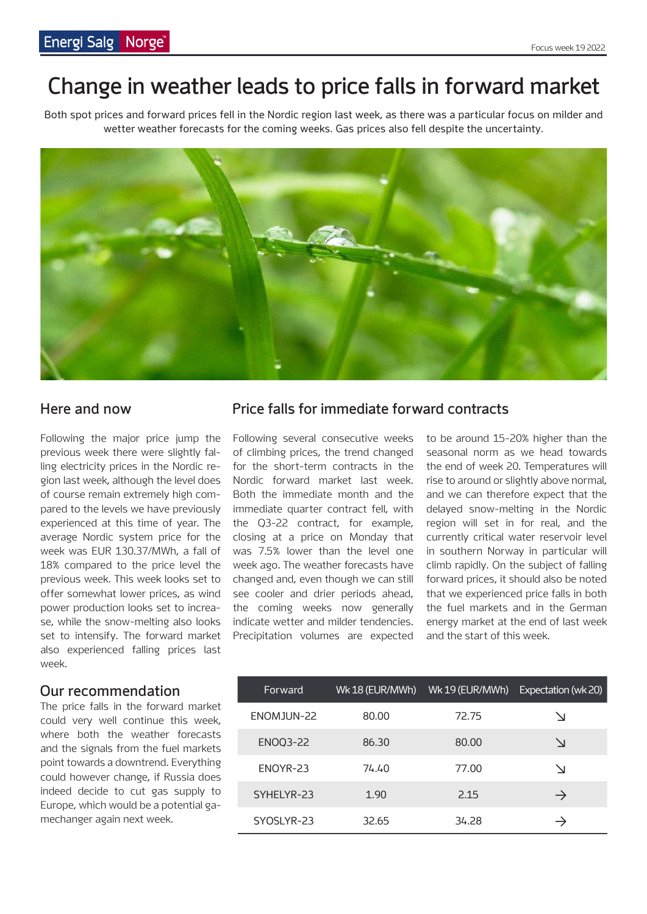# **Change in weather leads to price falls in forward market**

Both spot prices and forward prices fell in the Nordic region last week, as there was a particular focus on milder and wetter weather forecasts for the coming weeks. Gas prices also fell despite the uncertainty.



Following the major price jump the previous week there were slightly falling electricity prices in the Nordic region last week, although the level does of course remain extremely high compared to the levels we have previously experienced at this time of year. The average Nordic system price for the week was EUR 130.37/MWh, a fall of 18% compared to the price level the previous week. This week looks set to offer somewhat lower prices, as wind power production looks set to increase, while the snow-melting also looks set to intensify. The forward market also experienced falling prices last week.

#### **Our recommendation**

The price falls in the forward market could very well continue this week, where both the weather forecasts and the signals from the fuel markets point towards a downtrend. Everything could however change, if Russia does indeed decide to cut gas supply to Europe, which would be a potential gamechanger again next week.

#### **Here and now Price falls for immediate forward contracts**

Following several consecutive weeks of climbing prices, the trend changed for the short-term contracts in the Nordic forward market last week. Both the immediate month and the immediate quarter contract fell, with the Q3-22 contract, for example, closing at a price on Monday that was 7.5% lower than the level one week ago. The weather forecasts have changed and, even though we can still see cooler and drier periods ahead, the coming weeks now generally indicate wetter and milder tendencies. Precipitation volumes are expected to be around 15-20% higher than the seasonal norm as we head towards the end of week 20. Temperatures will rise to around or slightly above normal, and we can therefore expect that the delayed snow-melting in the Nordic region will set in for real, and the currently critical water reservoir level in southern Norway in particular will climb rapidly. On the subject of falling forward prices, it should also be noted that we experienced price falls in both the fuel markets and in the German energy market at the end of last week and the start of this week.

| Forward         | Wk 18 (EUR/MWh) | Wk 19 (EUR/MWh) | Expectation (wk 20) |
|-----------------|-----------------|-----------------|---------------------|
| ENOMJUN-22      | 80.00           | 72.75           | ↘                   |
| <b>ENOQ3-22</b> | 86.30           | 80.00           | $\vee$              |
| ENOYR-23        | 74.40           | 77.00           | $\Delta$            |
| SYHELYR-23      | 1.90            | 2.15            | $\rightarrow$       |
| SYOSLYR-23      | 32.65           | 34.28           |                     |